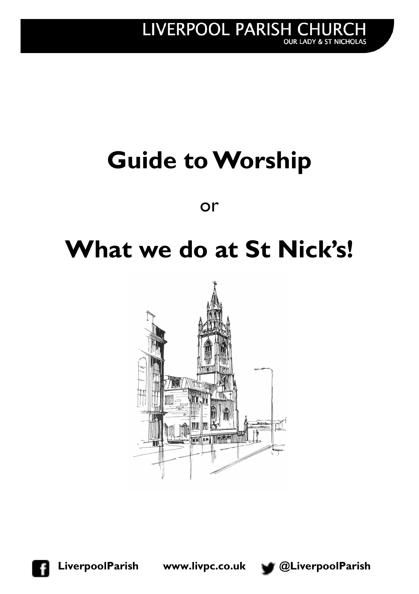# **Guide to Worship**

or

## **What we do at St Nick's!**



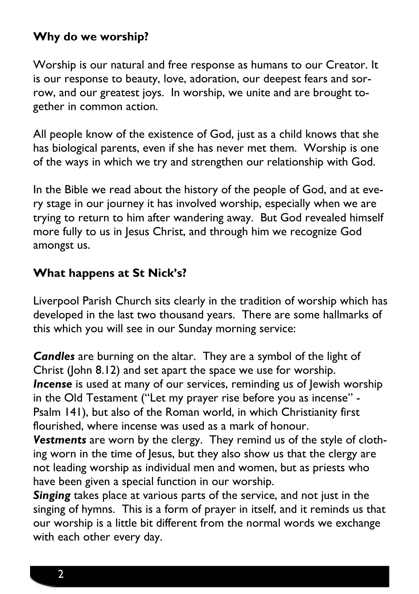#### **Why do we worship?**

Worship is our natural and free response as humans to our Creator. It is our response to beauty, love, adoration, our deepest fears and sorrow, and our greatest joys. In worship, we unite and are brought together in common action.

All people know of the existence of God, just as a child knows that she has biological parents, even if she has never met them. Worship is one of the ways in which we try and strengthen our relationship with God.

In the Bible we read about the history of the people of God, and at every stage in our journey it has involved worship, especially when we are trying to return to him after wandering away. But God revealed himself more fully to us in Jesus Christ, and through him we recognize God amongst us.

#### **What happens at St Nick's?**

Liverpool Parish Church sits clearly in the tradition of worship which has developed in the last two thousand years. There are some hallmarks of this which you will see in our Sunday morning service:

*Candles* are burning on the altar. They are a symbol of the light of Christ (John 8.12) and set apart the space we use for worship. *Incense* is used at many of our services, reminding us of lewish worship in the Old Testament ("Let my prayer rise before you as incense" - Psalm 141), but also of the Roman world, in which Christianity first flourished, where incense was used as a mark of honour.

*Vestments* are worn by the clergy. They remind us of the style of clothing worn in the time of Jesus, but they also show us that the clergy are not leading worship as individual men and women, but as priests who have been given a special function in our worship.

*Singing* takes place at various parts of the service, and not just in the singing of hymns. This is a form of prayer in itself, and it reminds us that our worship is a little bit different from the normal words we exchange with each other every day.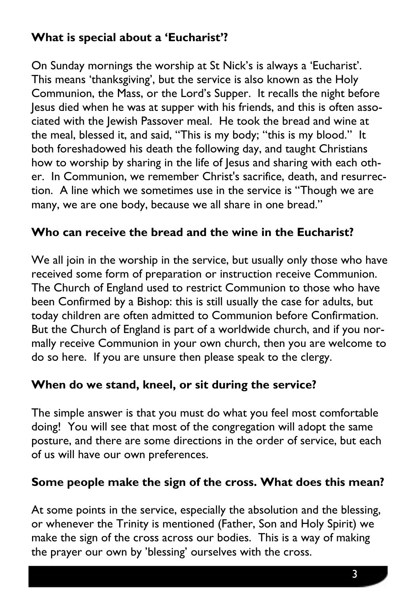### **What is special about a 'Eucharist'?**

On Sunday mornings the worship at St Nick's is always a 'Eucharist'. This means 'thanksgiving', but the service is also known as the Holy Communion, the Mass, or the Lord's Supper. It recalls the night before Jesus died when he was at supper with his friends, and this is often associated with the Jewish Passover meal. He took the bread and wine at the meal, blessed it, and said, "This is my body; "this is my blood." It both foreshadowed his death the following day, and taught Christians how to worship by sharing in the life of Jesus and sharing with each other. In Communion, we remember Christ's sacrifice, death, and resurrection. A line which we sometimes use in the service is "Though we are many, we are one body, because we all share in one bread."

#### **Who can receive the bread and the wine in the Eucharist?**

We all join in the worship in the service, but usually only those who have received some form of preparation or instruction receive Communion. The Church of England used to restrict Communion to those who have been Confirmed by a Bishop: this is still usually the case for adults, but today children are often admitted to Communion before Confirmation. But the Church of England is part of a worldwide church, and if you normally receive Communion in your own church, then you are welcome to do so here. If you are unsure then please speak to the clergy.

#### **When do we stand, kneel, or sit during the service?**

The simple answer is that you must do what you feel most comfortable doing! You will see that most of the congregation will adopt the same posture, and there are some directions in the order of service, but each of us will have our own preferences.

#### **Some people make the sign of the cross. What does this mean?**

At some points in the service, especially the absolution and the blessing, or whenever the Trinity is mentioned (Father, Son and Holy Spirit) we make the sign of the cross across our bodies. This is a way of making the prayer our own by 'blessing' ourselves with the cross.